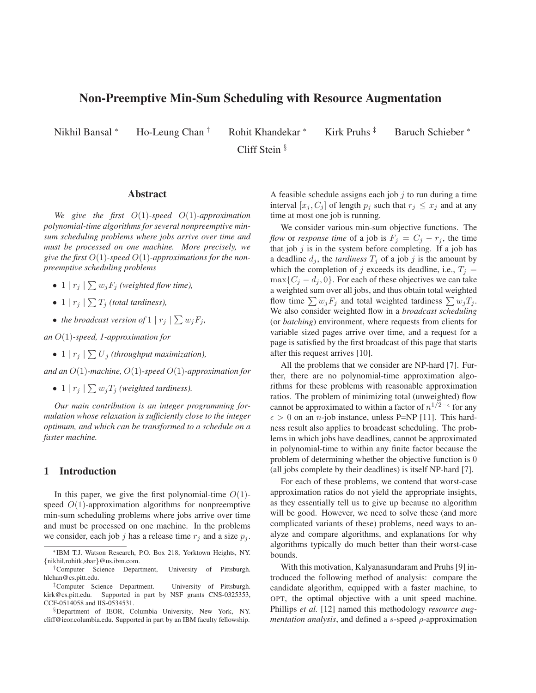# **Non-Preemptive Min-Sum Scheduling with Resource Augmentation**

Cliff Stein §

Nikhil Bansal \* Ho-Leung Chan † Rohit Khandekar \* Kirk Pruhs ‡ Baruch Schieber \*

### **Abstract**

*We give the first* O(1)*-speed* O(1)*-approximation polynomial-time algorithms for several nonpreemptive minsum scheduling problems where jobs arrive over time and must be processed on one machine. More precisely, we give the first* O(1)*-speed* O(1)*-approximations for the nonpreemptive scheduling problems*

- 1  $|r_j| \sum w_j F_j$  *(weighted flow time),*
- 1 |  $r_j$  |  $\sum T_j$  *(total tardiness),*
- *the broadcast version of*  $1 | r_j | \sum w_j F_j$ ,

*an* O(1)*-speed, 1-approximation for*

• 1  $|r_j|$   $\sum \overline{U}_j$  (throughput maximization),

*and an* O(1)*-machine,* O(1)*-speed* O(1)*-approximation for*

• 1 |  $r_j$  |  $\sum w_j T_j$  *(weighted tardiness).* 

*Our main contribution is an integer programming formulation whose relaxation is sufficiently close to the integer optimum, and which can be transformed to a schedule on a faster machine.*

# **1 Introduction**

In this paper, we give the first polynomial-time  $O(1)$ speed  $O(1)$ -approximation algorithms for nonpreemptive min-sum scheduling problems where jobs arrive over time and must be processed on one machine. In the problems we consider, each job j has a release time  $r_i$  and a size  $p_i$ . A feasible schedule assigns each job  $j$  to run during a time interval  $[x_j, C_j]$  of length  $p_j$  such that  $r_j \leq x_j$  and at any time at most one job is running.

We consider various min-sum objective functions. The *flow* or *response time* of a job is  $F_j = C_j - r_j$ , the time that job  $j$  is in the system before completing. If a job has a deadline  $d_j$ , the *tardiness*  $T_j$  of a job j is the amount by which the completion of j exceeds its deadline, i.e.,  $T_j =$  $\max\{C_i - d_i, 0\}$ . For each of these objectives we can take a weighted sum over all jobs, and thus obtain total weighted flow time  $\sum w_j F_j$  and total weighted tardiness  $\sum w_j T_j$ . We also consider weighted flow in a *broadcast scheduling* (or *batching*) environment, where requests from clients for variable sized pages arrive over time, and a request for a page is satisfied by the first broadcast of this page that starts after this request arrives [10].

All the problems that we consider are NP-hard [7]. Further, there are no polynomial-time approximation algorithms for these problems with reasonable approximation ratios. The problem of minimizing total (unweighted) flow cannot be approximated to within a factor of  $n^{1/2-\epsilon}$  for any  $\epsilon > 0$  on an *n*-job instance, unless P=NP [11]. This hardness result also applies to broadcast scheduling. The problems in which jobs have deadlines, cannot be approximated in polynomial-time to within any finite factor because the problem of determining whether the objective function is 0 (all jobs complete by their deadlines) is itself NP-hard [7].

For each of these problems, we contend that worst-case approximation ratios do not yield the appropriate insights, as they essentially tell us to give up because no algorithm will be good. However, we need to solve these (and more complicated variants of these) problems, need ways to analyze and compare algorithms, and explanations for why algorithms typically do much better than their worst-case bounds.

With this motivation, Kalyanasundaram and Pruhs [9] introduced the following method of analysis: compare the candidate algorithm, equipped with a faster machine, to OPT, the optimal objective with a unit speed machine. Phillips *et al.* [12] named this methodology *resource augmentation analysis*, and defined a s-speed ρ-approximation

<sup>∗</sup>IBM T.J. Watson Research, P.O. Box 218, Yorktown Heights, NY. {nikhil,rohitk,sbar}@us.ibm.com.

<sup>†</sup>Computer Science Department, University of Pittsburgh. hlchan@cs.pitt.edu.

<sup>‡</sup>Computer Science Department. University of Pittsburgh. kirk@cs.pitt.edu. Supported in part by NSF grants CNS-0325353, CCF-0514058 and IIS-0534531.

<sup>§</sup>Department of IEOR, Columbia University, New York, NY. cliff@ieor.columbia.edu. Supported in part by an IBM faculty fellowship.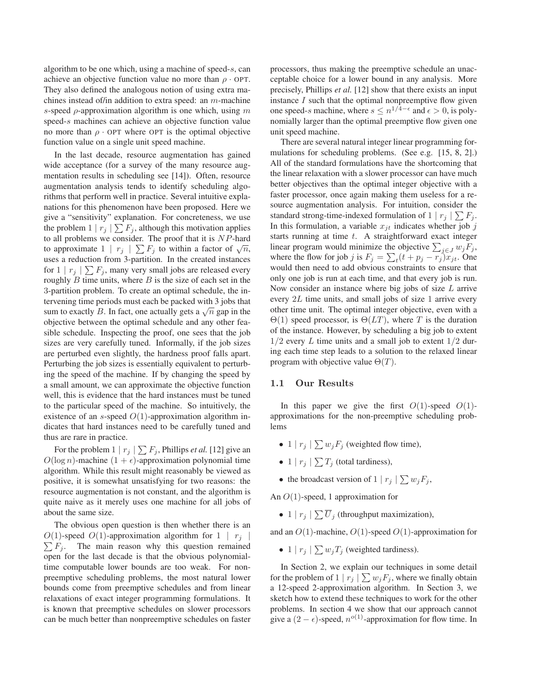algorithm to be one which, using a machine of speed-s, can achieve an objective function value no more than  $\rho \cdot \text{OPT}$ . They also defined the analogous notion of using extra machines instead of/in addition to extra speed: an m-machine s-speed  $\rho$ -approximation algorithm is one which, using m speed-s machines can achieve an objective function value no more than  $\rho \cdot \text{OPT}$  where OPT is the optimal objective function value on a single unit speed machine.

In the last decade, resource augmentation has gained wide acceptance (for a survey of the many resource augmentation results in scheduling see [14]). Often, resource augmentation analysis tends to identify scheduling algorithms that perform well in practice. Several intuitive explanations for this phenomenon have been proposed. Here we give a "sensitivity" explanation. For concreteness, we use the problem  $1 | r_j | \sum F_j$ , although this motivation applies to all problems we consider. The proof that it is NP-hard to approximate  $1 | r_j | \sum F_j$  to within a factor of  $\sqrt{n}$ , uses a reduction from 3-partition. In the created instances for  $1 | r_j | \sum F_j$ , many very small jobs are released every roughly  $B$  time units, where  $B$  is the size of each set in the 3-partition problem. To create an optimal schedule, the intervening time periods must each be packed with 3 jobs that sum to exactly B. In fact, one actually gets a  $\sqrt{n}$  gap in the objective between the optimal schedule and any other feasible schedule. Inspecting the proof, one sees that the job sizes are very carefully tuned. Informally, if the job sizes are perturbed even slightly, the hardness proof falls apart. Perturbing the job sizes is essentially equivalent to perturbing the speed of the machine. If by changing the speed by a small amount, we can approximate the objective function well, this is evidence that the hard instances must be tuned to the particular speed of the machine. So intuitively, the existence of an s-speed  $O(1)$ -approximation algorithm indicates that hard instances need to be carefully tuned and thus are rare in practice.

For the problem  $1 | r_j | \sum F_j$ , Phillips *et al.* [12] give an  $O(\log n)$ -machine  $(1 + \epsilon)$ -approximation polynomial time algorithm. While this result might reasonably be viewed as positive, it is somewhat unsatisfying for two reasons: the resource augmentation is not constant, and the algorithm is quite naive as it merely uses one machine for all jobs of about the same size.

The obvious open question is then whether there is an  $\sum F_j$ . The main reason why this question remained  $O(1)$ -speed  $O(1)$ -approximation algorithm for  $1 \mid r_i$ open for the last decade is that the obvious polynomialtime computable lower bounds are too weak. For nonpreemptive scheduling problems, the most natural lower bounds come from preemptive schedules and from linear relaxations of exact integer programming formulations. It is known that preemptive schedules on slower processors can be much better than nonpreemptive schedules on faster

processors, thus making the preemptive schedule an unacceptable choice for a lower bound in any analysis. More precisely, Phillips *et al.* [12] show that there exists an input instance  $I$  such that the optimal nonpreemptive flow given one speed-s machine, where  $s \leq n^{1/4-\epsilon}$  and  $\epsilon > 0$ , is polynomially larger than the optimal preemptive flow given one unit speed machine.

There are several natural integer linear programming formulations for scheduling problems. (See e.g. [15, 8, 2].) All of the standard formulations have the shortcoming that the linear relaxation with a slower processor can have much better objectives than the optimal integer objective with a faster processor, once again making them useless for a resource augmentation analysis. For intuition, consider the standard strong-time-indexed formulation of  $1 | r_j | \sum F_j$ . In this formulation, a variable  $x_{jt}$  indicates whether job j starts running at time  $t$ . A straightforward exact integer linear program would minimize the objective  $\sum_{j\in J} w_j \overline{F_j}$ , where the flow for job j is  $F_j = \sum_t (t + p_j - r_j)x_j$ . One would then need to add obvious constraints to ensure that only one job is run at each time, and that every job is run. Now consider an instance where big jobs of size  $L$  arrive every  $2L$  time units, and small jobs of size 1 arrive every other time unit. The optimal integer objective, even with a  $\Theta(1)$  speed processor, is  $\Theta(LT)$ , where T is the duration of the instance. However, by scheduling a big job to extent  $1/2$  every L time units and a small job to extent  $1/2$  during each time step leads to a solution to the relaxed linear program with objective value  $\Theta(T)$ .

### **1.1 Our Results**

In this paper we give the first  $O(1)$ -speed  $O(1)$ approximations for the non-preemptive scheduling problems

- 1 |  $r_j$  |  $\sum w_j F_j$  (weighted flow time),
- 1 |  $r_j$  |  $\sum T_j$  (total tardiness),
- the broadcast version of  $1 | r_j | \sum w_j F_j$ ,

An O(1)-speed, 1 approximation for

• 1 |  $r_j$  |  $\sum \overline{U}_j$  (throughput maximization),

and an O(1)-machine, O(1)-speed O(1)-approximation for

• 1 |  $r_j$  |  $\sum w_j T_j$  (weighted tardiness).

In Section 2, we explain our techniques in some detail for the problem of  $1 | r_j | \sum w_j F_j$ , where we finally obtain a 12-speed 2-approximation algorithm. In Section 3, we sketch how to extend these techniques to work for the other problems. In section 4 we show that our approach cannot give a  $(2 - \epsilon)$ -speed,  $n^{o(1)}$ -approximation for flow time. In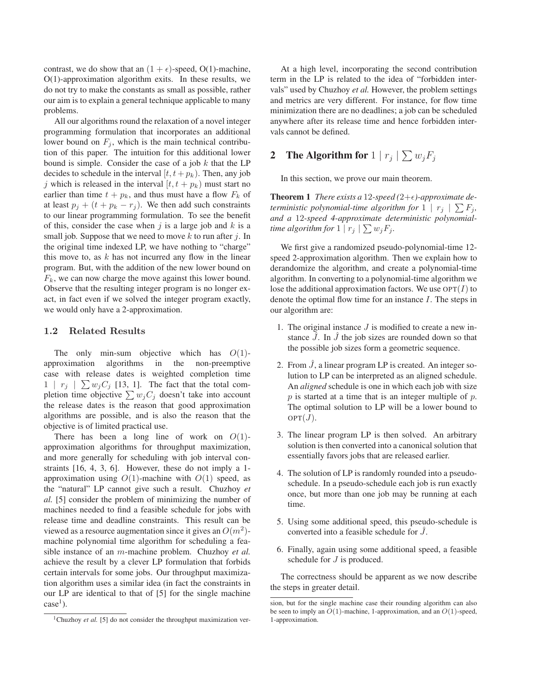contrast, we do show that an  $(1 + \epsilon)$ -speed, O(1)-machine, O(1)-approximation algorithm exits. In these results, we do not try to make the constants as small as possible, rather our aim is to explain a general technique applicable to many problems.

All our algorithms round the relaxation of a novel integer programming formulation that incorporates an additional lower bound on  $F_i$ , which is the main technical contribution of this paper. The intuition for this additional lower bound is simple. Consider the case of a job  $k$  that the LP decides to schedule in the interval  $[t, t + p_k)$ . Then, any job j which is released in the interval  $[t, t + p_k)$  must start no earlier than time  $t + p_k$ , and thus must have a flow  $F_k$  of at least  $p_i + (t + p_k - r_i)$ . We then add such constraints to our linear programming formulation. To see the benefit of this, consider the case when  $j$  is a large job and  $k$  is a small job. Suppose that we need to move  $k$  to run after  $j$ . In the original time indexed LP, we have nothing to "charge" this move to, as  $k$  has not incurred any flow in the linear program. But, with the addition of the new lower bound on  $F_k$ , we can now charge the move against this lower bound. Observe that the resulting integer program is no longer exact, in fact even if we solved the integer program exactly, we would only have a 2-approximation.

### **1.2 Related Results**

The only min-sum objective which has  $O(1)$ approximation algorithms in the non-preemptive case with release dates is weighted completion time  $1 \mid r_j \mid \sum w_j C_j$  [13, 1]. The fact that the total completion time objective  $\sum w_iC_i$  doesn't take into account the release dates is the reason that good approximation algorithms are possible, and is also the reason that the objective is of limited practical use.

There has been a long line of work on  $O(1)$ approximation algorithms for throughput maximization, and more generally for scheduling with job interval constraints [16, 4, 3, 6]. However, these do not imply a 1 approximation using  $O(1)$ -machine with  $O(1)$  speed, as the "natural" LP cannot give such a result. Chuzhoy *et al.* [5] consider the problem of minimizing the number of machines needed to find a feasible schedule for jobs with release time and deadline constraints. This result can be viewed as a resource augmentation since it gives an  $O(m^2)$ machine polynomial time algorithm for scheduling a feasible instance of an m-machine problem. Chuzhoy *et al.* achieve the result by a clever LP formulation that forbids certain intervals for some jobs. Our throughput maximization algorithm uses a similar idea (in fact the constraints in our LP are identical to that of [5] for the single machine  $case<sup>1</sup>$ ).

At a high level, incorporating the second contribution term in the LP is related to the idea of "forbidden intervals" used by Chuzhoy *et al.* However, the problem settings and metrics are very different. For instance, for flow time minimization there are no deadlines; a job can be scheduled anywhere after its release time and hence forbidden intervals cannot be defined.

# **2** The Algorithm for  $1 \mid r_j \mid \sum w_j F_j$

In this section, we prove our main theorem.

**Theorem 1** *There exists a* 12-speed (2+ $\epsilon$ )-approximate de*terministic polynomial-time algorithm for*  $1 \rceil r_j \rceil \sum F_j$ , *and a* 12*-speed 4-approximate deterministic polynomialtime algorithm for*  $1 | r_j | \sum w_j F_j$ .

We first give a randomized pseudo-polynomial-time 12 speed 2-approximation algorithm. Then we explain how to derandomize the algorithm, and create a polynomial-time algorithm. In converting to a polynomial-time algorithm we lose the additional approximation factors. We use  $\text{OPT}(I)$  to denote the optimal flow time for an instance I. The steps in our algorithm are:

- 1. The original instance  $J$  is modified to create a new instance  $\ddot{J}$ . In  $\ddot{J}$  the job sizes are rounded down so that the possible job sizes form a geometric sequence.
- 2. From  $\bar{J}$ , a linear program LP is created. An integer solution to LP can be interpreted as an aligned schedule. An *aligned* schedule is one in which each job with size  $p$  is started at a time that is an integer multiple of  $p$ . The optimal solution to LP will be a lower bound to  $OPT(J)$ .
- 3. The linear program LP is then solved. An arbitrary solution is then converted into a canonical solution that essentially favors jobs that are released earlier.
- 4. The solution of LP is randomly rounded into a pseudoschedule. In a pseudo-schedule each job is run exactly once, but more than one job may be running at each time.
- 5. Using some additional speed, this pseudo-schedule is converted into a feasible schedule for  $\hat{J}$ .
- 6. Finally, again using some additional speed, a feasible schedule for *J* is produced.

The correctness should be apparent as we now describe the steps in greater detail.

<sup>&</sup>lt;sup>1</sup>Chuzhoy *et al.* [5] do not consider the throughput maximization ver-

sion, but for the single machine case their rounding algorithm can also be seen to imply an  $O(1)$ -machine, 1-approximation, and an  $O(1)$ -speed, 1-approximation.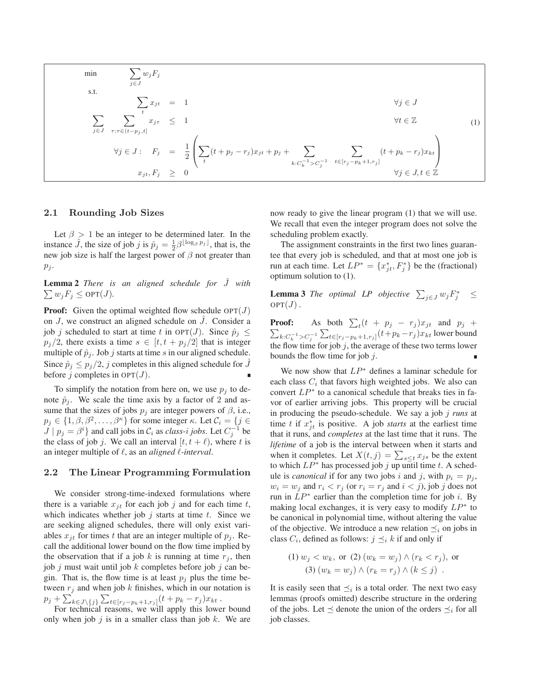$$
\min \qquad \sum_{j \in J} w_j F_j
$$
\n
$$
\text{s.t.} \qquad \qquad \sum_{j \in J} x_{jt} = 1 \qquad \qquad \forall j \in J
$$
\n
$$
\sum_{j \in J} \sum_{\tau: \tau \in (t - p_j, t]} x_{j\tau} \le 1 \qquad \qquad \forall t \in \mathbb{Z} \qquad (1)
$$
\n
$$
\forall j \in J: \quad F_j = \frac{1}{2} \left( \sum_t (t + p_j - r_j) x_{jt} + p_j + \sum_{k: C_k^{-1} > C_j^{-1}} \sum_{t \in [r_j - p_k + 1, r_j]} (t + p_k - r_j) x_{kt} \right)
$$
\n
$$
x_{jt}, F_j \ge 0 \qquad \qquad \forall j \in J, t \in \mathbb{Z}
$$

#### **2.1 Rounding Job Sizes**

Let  $\beta > 1$  be an integer to be determined later. In the instance  $\hat{J}$ , the size of job j is  $\hat{p}_j = \frac{1}{2} \beta^{\lfloor \log_\beta p_j \rfloor}$ , that is, the new job size is half the largest nower of  $\beta$  not greater than new job size is half the largest power of  $\beta$  not greater than  $p_j$ .

**Lemma 2** *There is an aligned schedule for* Jˆ *with*  $\sum w_j F_j \le \text{OPT}(J)$ .

**Proof:** Given the optimal weighted flow schedule  $OPT(J)$ on  $J$ , we construct an aligned schedule on  $\tilde{J}$ . Consider a job j scheduled to start at time t in OPT(J). Since  $\hat{p}_j \leq$  $p_j/2$ , there exists a time  $s \in [t, t + p_j/2]$  that is integer multiple of  $\hat{p}_j$ . Job j starts at time s in our aligned schedule. Since  $\hat{p}_i \leq p_i/2$ , j completes in this aligned schedule for J before j completes in  $OPT(J)$ .

To simplify the notation from here on, we use  $p_j$  to denote  $\hat{p}_i$ . We scale the time axis by a factor of 2 and assume that the sizes of jobs  $p_i$  are integer powers of  $\beta$ , i.e.,  $p_j \in \{1, \beta, \beta^2, \dots, \beta^{\kappa}\}\$  for some integer  $\kappa$ . Let  $\mathcal{C}_i = \{j \in$  $J | p_j = \beta^i$  and call jobs in  $\mathcal{C}_i$  as *class-i jobs*. Let  $C_j^{-1}$  be the class of job j. We call an interval  $[t, t + \ell)$ , where t is an integer multiple of  $\ell$ , as an *aligned*  $\ell$ -*interval*.

### **2.2 The Linear Programming Formulation**

We consider strong-time-indexed formulations where there is a variable  $x_{jt}$  for each job j and for each time t, which indicates whether job  $j$  starts at time  $t$ . Since we are seeking aligned schedules, there will only exist variables  $x_{it}$  for times t that are an integer multiple of  $p_i$ . Recall the additional lower bound on the flow time implied by the observation that if a job k is running at time  $r_i$ , then job  $j$  must wait until job  $k$  completes before job  $j$  can begin. That is, the flow time is at least  $p_i$  plus the time between  $r_i$  and when job k finishes, which in our notation is  $p_j + \sum_{k \in J \setminus \{j\}}^k \sum_{t \in [r_j - p_k + 1, r_j]} (t + p_k - r_j) x_{kt}$ .<br>For technical reasons, we will apply this lowe

For technical reasons, we will apply this lower bound only when job  $j$  is in a smaller class than job  $k$ . We are now ready to give the linear program (1) that we will use. We recall that even the integer program does not solve the scheduling problem exactly.

The assignment constraints in the first two lines guarantee that every job is scheduled, and that at most one job is run at each time. Let  $LP^* = \{x_{jt}^*, F_j^*\}$  be the (fractional) optimum solution to (1).

**Lemma 3** *The optimal LP objective*  $\sum_{j \in J} w_j F_j^* \leq$  $OPT(J)$ .

**Proof:** As both  $\sum_{t} (t + p_j - r_j) x_{jt}$  and  $p_j$  + **t foot.** As bound  $\sum_{t} (t - \mu_j - \tau_j)x_j t$  and  $\mu_j$  +<br>  $\sum_{k:C_k^{-1}} C_j^{-1} \sum_{t \in [r_j-p_k+1,r_j]} (t+p_k-r_j)x_{kt}$  lower bound the flow time for job  $j$ , the average of these two terms lower bounds the flow time for job  $j$ .

We now show that  $LP^*$  defines a laminar schedule for each class  $C_i$  that favors high weighted jobs. We also can convert  $LP^*$  to a canonical schedule that breaks ties in favor of earlier arriving jobs. This property will be crucial in producing the pseudo-schedule. We say a job j *runs* at time t if  $x_{jt}^*$  is positive. A job *starts* at the earliest time that it runs, and *completes* at the last time that it runs. The *lifetime* of a job is the interval between when it starts and when it completes. Let  $X(t, j) = \sum_{s \leq t} x_{js}$  be the extent to which  $LP^*$  has processed job j up until time t. A schedule is *canonical* if for any two jobs i and j, with  $p_i = p_j$ ,  $w_i = w_j$  and  $r_i < r_j$  (or  $r_i = r_j$  and  $i < j$ ), job j does not run in  $LP^*$  earlier than the completion time for job *i*. By making local exchanges, it is very easy to modify  $LP^*$  to be canonical in polynomial time, without altering the value of the objective. We introduce a new relation  $\preceq_i$  on jobs in class  $C_i$ , defined as follows:  $j \preceq_i k$  if and only if

(1) 
$$
w_j < w_k
$$
, or (2)  $(w_k = w_j) \wedge (r_k < r_j)$ , or  
(3)  $(w_k = w_j) \wedge (r_k = r_j) \wedge (k \leq j)$ .

It is easily seen that  $\preceq_i$  is a total order. The next two easy lemmas (proofs omitted) describe structure in the ordering of the jobs. Let  $\preceq$  denote the union of the orders  $\preceq_i$  for all job classes.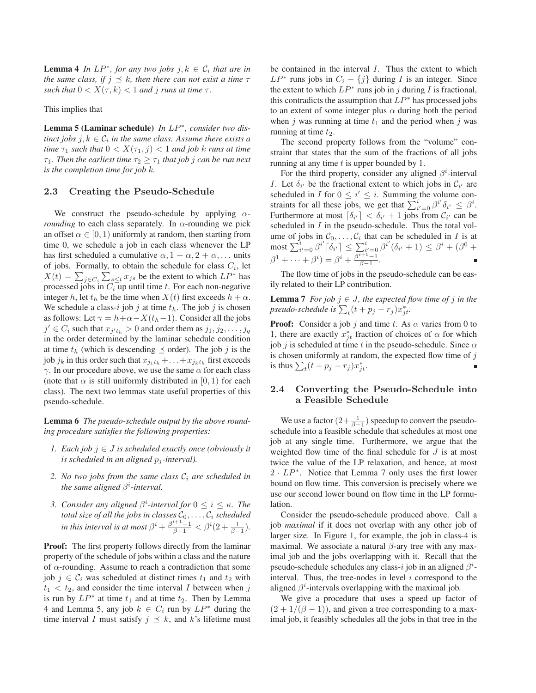**Lemma 4** *In LP<sup>\*</sup>, for any two jobs*  $j, k \in C_i$  *that are in the same class, if*  $j \leq k$ *, then there can not exist a time*  $\tau$ *such that*  $0 < X(\tau, k) < 1$  *and j runs at time*  $\tau$ *.* 

This implies that

**Lemma 5 (Laminar schedule)** *In* LP∗*, consider two distinct jobs*  $j, k \in C_i$  *in the same class. Assume there exists a time*  $\tau_1$  *such that*  $0 < X(\tau_1, j) < 1$  *and job k runs at time*  $\tau_1$ *. Then the earliest time*  $\tau_2 \geq \tau_1$  *that job j can be run next is the completion time for job* k*.*

### **2.3 Creating the Pseudo-Schedule**

We construct the pseudo-schedule by applying α*rounding* to each class separately. In  $\alpha$ -rounding we pick an offset  $\alpha \in [0, 1)$  uniformly at random, then starting from time 0, we schedule a job in each class whenever the LP has first scheduled a cumulative  $\alpha$ ,  $1 + \alpha$ ,  $2 + \alpha$ , ... units of jobs. Formally, to obtain the schedule for class  $C_i$ , let  $X(t) = \sum_{j \in C_i} \sum_{s \le t} x_{js}$  be the extent to which  $LP^*$  has processed jobs in  $C_i$  up until time t. For each non-negative integer h, let  $t<sub>h</sub>$  be the time when  $X(t)$  first exceeds  $h + \alpha$ . We schedule a class-i job j at time  $t<sub>h</sub>$ . The job j is chosen as follows: Let  $\gamma = h + \alpha - X(t_h - 1)$ . Consider all the jobs  $j' \in C_i$  such that  $x_{j't_h} > 0$  and order them as  $j_1, j_2, \ldots, j_q$ in the order determined by the laminar schedule condition at time  $t<sub>h</sub>$  (which is descending  $\preceq$  order). The job j is the job  $j_k$  in this order such that  $x_{j_1t_h} + \ldots + x_{j_kt_h}$  first exceeds  $\gamma$ . In our procedure above, we use the same  $\alpha$  for each class (note that  $\alpha$  is still uniformly distributed in [0, 1) for each class). The next two lemmas state useful properties of this pseudo-schedule.

**Lemma 6** *The pseudo-schedule output by the above rounding procedure satisfies the following properties:*

- *1. Each job*  $j \in J$  *is scheduled exactly once (obviously it is scheduled in an aligned*  $p_i$ -interval).
- 2. *No two jobs from the same class*  $C_i$  *are scheduled in the same aligned*  $\beta^i$ -interval.
- *3. Consider any aligned*  $\beta^i$ -interval for  $0 \le i \le \kappa$ . The *total size of all the jobs in classes*  $C_0, \ldots, C_i$  *scheduled in this interval is at most*  $\beta^i + \frac{\beta^{i+1}-1}{\beta-1} < \beta^i (2+\frac{1}{\beta-1})$ *.*

**Proof:** The first property follows directly from the laminar property of the schedule of jobs within a class and the nature of  $\alpha$ -rounding. Assume to reach a contradiction that some job  $j \in \mathcal{C}_i$  was scheduled at distinct times  $t_1$  and  $t_2$  with  $t_1 < t_2$ , and consider the time interval I between when j is run by  $LP^*$  at time  $t_1$  and at time  $t_2$ . Then by Lemma 4 and Lemma 5, any job  $k \in C_i$  run by  $LP^*$  during the time interval I must satisfy  $j \preceq k$ , and k's lifetime must

be contained in the interval  $I$ . Thus the extent to which  $LP^*$  runs jobs in  $C_i - \{j\}$  during I is an integer. Since the extent to which  $LP^*$  runs job in j during I is fractional, this contradicts the assumption that  $LP^*$  has processed jobs to an extent of some integer plus  $\alpha$  during both the period when j was running at time  $t_1$  and the period when j was running at time  $t_2$ .

The second property follows from the "volume" constraint that states that the sum of the fractions of all jobs running at any time  $t$  is upper bounded by 1.

For the third property, consider any aligned  $\beta^i$ -interval I. Let  $\delta_{i'}$  be the fractional extent to which jobs in  $\mathcal{C}_{i'}$  are scheduled in I for  $0 \leq i' \leq i$ . Summing the volume constraints for all these jobs, we get that  $\sum_{i=0}^{i} \beta^{i'} \delta_{i'} \leq \beta^{i}$ .<br>Furthermore at most  $[\delta_{i'}] < \delta_{i'} + 1$  jobs from  $\beta_{i'}$  can be Furthermore at most  $\lceil \delta_{i'} \rceil < \delta_{i'} + 1$  jobs from  $C_{i'}$  can be scheduled in  $I$  in the pseudo-schedule. Thus the total volume of jobs in  $C_0, \ldots, C_i$  that can be scheduled in I is at  $\text{most } \sum_{i'=0}^{i} \beta^{i'} \lceil \delta_{i'} \rceil \leq \sum_{\beta^{i+1}-1}^{i} \beta^{i'} (\delta_{i'}+1) \leq \beta^{i} + (\beta^{0} + \beta^{0})$  $\beta^{1} + \cdots + \beta^{i} = \beta^{i} + \frac{\beta^{i+1}-1}{\beta-1}.$ 

The flow time of jobs in the pseudo-schedule can be easily related to their LP contribution.

**Lemma 7** *For job*  $j \in J$ *, the expected flow time of*  $j$  *in the*  $pseudo-schedule$  is  $\sum_t (t + p_j - r_j) x_{jt}^*$ .

**Proof:** Consider a job j and time t. As  $\alpha$  varies from 0 to 1, there are exactly  $x_{jt}^*$  fraction of choices of  $\alpha$  for which job j is scheduled at time t in the pseudo-schedule. Since  $\alpha$ is chosen uniformly at random, the expected flow time of  $j$ is thus  $\sum_t (t + p_j - r_j) x_{jt}^*$ .

# **2.4 Converting the Pseudo-Schedule into a Feasible Schedule**

We use a factor  $\left(2+\frac{1}{\beta-1}\right)$  speedup to convert the pseudo-<br>ledule into a feasible schedule that schedules at most one schedule into a feasible schedule that schedules at most one job at any single time. Furthermore, we argue that the weighted flow time of the final schedule for  $J$  is at most twice the value of the LP relaxation, and hence, at most  $2 \cdot LP^*$ . Notice that Lemma 7 only uses the first lower bound on flow time. This conversion is precisely where we use our second lower bound on flow time in the LP formulation.

Consider the pseudo-schedule produced above. Call a job *maximal* if it does not overlap with any other job of larger size. In Figure 1, for example, the job in class-4 is maximal. We associate a natural  $\beta$ -ary tree with any maximal job and the jobs overlapping with it. Recall that the pseudo-schedule schedules any class-i job in an aligned  $\beta^i$ interval. Thus, the tree-nodes in level  $i$  correspond to the aligned  $\beta^i$ -intervals overlapping with the maximal job.

We give a procedure that uses a speed up factor of  $(2+1/(\beta-1))$ , and given a tree corresponding to a maximal job, it feasibly schedules all the jobs in that tree in the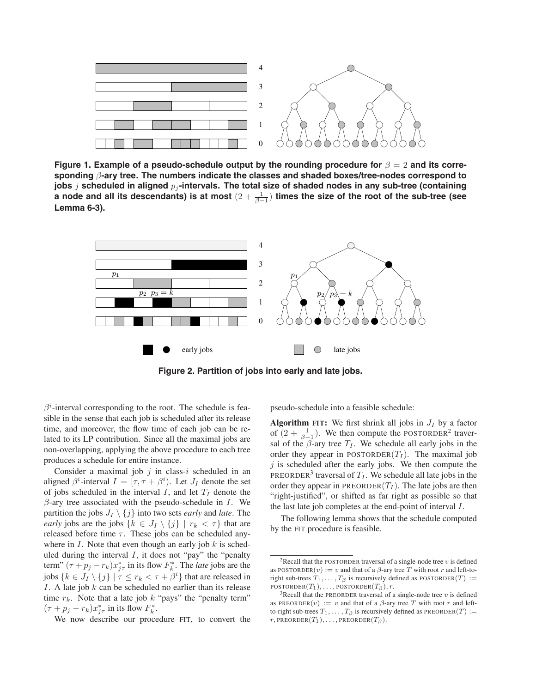

**Figure 1. Example of a pseudo-schedule output by the rounding procedure for** β = 2 **and its corresponding** β**-ary tree. The numbers indicate the classes and shaded boxes/tree-nodes correspond to jobs** *j* scheduled in aligned  $p_i$ -intervals. The total size of shaded nodes in any sub-tree (containing a node and all its descendants) is at most  $(2 + \frac{1}{\beta - 1})$  times the size of the root of the sub-tree (see<br>Lemma 6-3) **Lemma 6-3).**



**Figure 2. Partition of jobs into early and late jobs.**

 $\beta^i$ -interval corresponding to the root. The schedule is feasible in the sense that each job is scheduled after its release time, and moreover, the flow time of each job can be related to its LP contribution. Since all the maximal jobs are non-overlapping, applying the above procedure to each tree produces a schedule for entire instance.

Consider a maximal job  $j$  in class- $i$  scheduled in an aligned  $\beta^i$ -interval  $I = [\tau, \tau + \beta^i)$ . Let  $J_I$  denote the set of jobs scheduled in the interval I, and let  $T_I$  denote the  $\beta$ -ary tree associated with the pseudo-schedule in *I*. We partition the jobs  $J_I \setminus \{j\}$  into two sets *early* and *late*. The *early* jobs are the jobs  $\{k \in J_I \setminus \{j\} \mid r_k < \tau\}$  that are released before time  $\tau$ . These jobs can be scheduled anywhere in  $I$ . Note that even though an early job  $k$  is scheduled during the interval  $I$ , it does not "pay" the "penalty term"  $(\tau + p_j - r_k)x_{j\tau}^*$  in its flow  $F_k^*$ . The *late* jobs are the jobs  $\{k \in J_I \setminus \{j\} \mid \tau \leq r_k < \tau + \beta^i\}$  that are released in I. A late job  $k$  can be scheduled no earlier than its release time  $r_k$ . Note that a late job k "pays" the "penalty term"  $(\tau + p_j - r_k)x_{j\tau}^*$  in its flow  $F_k^*$ .

We now describe our procedure FIT, to convert the

pseudo-schedule into a feasible schedule:

**Algorithm FIT:** We first shrink all jobs in  $J_I$  by a factor of  $(2 + \frac{1}{\beta - 1})$ . We then compute the POSTORDER<sup>2</sup> traver-<br>sal of the  $\beta$ -ary tree  $T_r$ . We schedule all early jobs in the sal of the  $\beta$ -ary tree  $T_I$ . We schedule all early jobs in the order they appear in POSTORDER $(T_I)$ . The maximal job  $j$  is scheduled after the early jobs. We then compute the PREORDER<sup>3</sup> traversal of  $T_I$ . We schedule all late jobs in the order they appear in PREORDER $(T_I)$ . The late jobs are then "right-justified", or shifted as far right as possible so that the last late job completes at the end-point of interval I.

The following lemma shows that the schedule computed by the FIT procedure is feasible.

<sup>&</sup>lt;sup>2</sup>Recall that the POSTORDER traversal of a single-node tree  $v$  is defined as POSTORDER $(v) := v$  and that of a  $\beta$ -ary tree T with root r and left-toright sub-trees  $T_1, \ldots, T_\beta$  is recursively defined as POSTORDER $(T) :=$ POSTORDER $(T_1), \ldots$ , POSTORDER $(T_\beta), r$ .

<sup>&</sup>lt;sup>3</sup>Recall that the PREORDER traversal of a single-node tree v is defined as PREORDER $(v) := v$  and that of a  $\beta$ -ary tree T with root r and leftto-right sub-trees  $T_1, \ldots, T_\beta$  is recursively defined as PREORDER(T) :=  $r$ , PREORDER $(T_1), \ldots$ , PREORDER $(T_\beta)$ .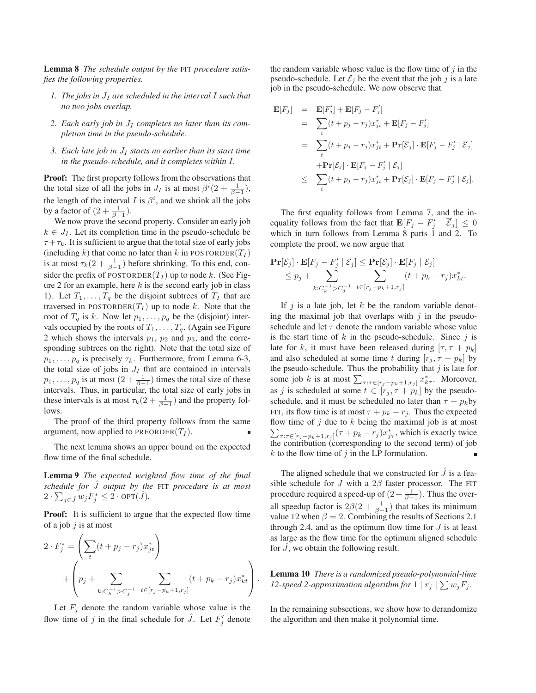**Lemma 8** *The schedule output by the* FIT *procedure satisfies the following properties.*

- *1. The jobs in* J<sup>I</sup> *are scheduled in the interval* I *such that no two jobs overlap.*
- 2. Each early job in  $J_I$  completes no later than its com*pletion time in the pseudo-schedule.*
- *3. Each late job in* J<sup>I</sup> *starts no earlier than its start time in the pseudo-schedule, and it completes within* I*.*

**Proof:** The first property follows from the observations that the total size of all the jobs in  $J_I$  is at most  $\beta^i(2 + \frac{1}{\beta-1})$ , the length of the interval I is  $\beta^i$ , and we shrink all the jobs by a factor of  $\left(2+\frac{1}{\beta-1}\right)$ .<br>We now prove the second

We now prove the second property. Consider an early job  $k \in J_I$ . Let its completion time in the pseudo-schedule be  $\tau + \tau_k$ . It is sufficient to argue that the total size of early jobs (including k) that come no later than k in POSTORDER( $T_I$ ) is at most  $\tau_k(2 + \frac{1}{\beta - 1})$  before shrinking. To this end, con-<br>gidently at  $\frac{\Gamma(2 + \beta - 1)}{\Gamma(2)}$  is to node *k*. (See Fig. sider the prefix of POSTORDER $(T_I)$  up to node k. (See Figure 2 for an example, here  $k$  is the second early job in class 1). Let  $T_1, \ldots, T_q$  be the disjoint subtrees of  $T_I$  that are traversed in POSTORDER $(T_I)$  up to node k. Note that the root of  $T_q$  is k. Now let  $p_1, \ldots, p_q$  be the (disjoint) intervals occupied by the roots of  $T_1, \ldots, T_q$ . (Again see Figure 2 which shows the intervals  $p_1$ ,  $p_2$  and  $p_3$ , and the corresponding subtrees on the right). Note that the total size of  $p_1, \ldots, p_q$  is precisely  $\tau_k$ . Furthermore, from Lemma 6-3, the total size of jobs in  $J_I$  that are contained in intervals  $p_1, \ldots, p_q$  is at most  $(2 + \frac{1}{\beta - 1})$  times the total size of these intervals. Thus in particular, the total size of early jobs in intervals. Thus, in particular, the total size of early jobs in these intervals is at most  $\tau_k(2 + \frac{1}{\beta - 1})$  and the property follows lows.

The proof of the third property follows from the same argument, now applied to PREORDER $(T_I)$ .

The next lemma shows an upper bound on the expected flow time of the final schedule.

**Lemma 9** *The expected weighted flow time of the final schedule for* Jˆ *output by the* FIT *procedure is at most*  $2 \cdot \sum_{j \in \hat{J}} w_j F_j^* \leq 2 \cdot \text{OPT}(\hat{J}).$ 

**Proof:** It is sufficient to argue that the expected flow time of a job  $j$  is at most

$$
2 \cdot F_j^* = \left(\sum_t (t + p_j - r_j)x_{jt}^*\right) + \left(p_j + \sum_{k:C_k^{-1} > C_j^{-1}} \sum_{t \in [r_j - p_k + 1, r_j]} (t + p_k - r_j)x_{kt}^*\right).
$$

Let  $F_i$  denote the random variable whose value is the flow time of j in the final schedule for  $\hat{J}$ . Let  $F'_{j}$  denote

the random variable whose value is the flow time of  $i$  in the pseudo-schedule. Let  $\mathcal{E}_j$  be the event that the job j is a late job in the pseudo-schedule. We now observe that

$$
\begin{aligned}\n\mathbf{E}[F_j] &= \mathbf{E}[F'_j] + \mathbf{E}[F_j - F'_j] \\
&= \sum_t (t + p_j - r_j) x_{jt}^* + \mathbf{E}[F_j - F'_j] \\
&= \sum_t (t + p_j - r_j) x_{jt}^* + \mathbf{Pr}[\overline{\mathcal{E}}_j] \cdot \mathbf{E}[F_j - F'_j \mid \overline{\mathcal{E}}_j] \\
&\quad + \mathbf{Pr}[\mathcal{E}_j] \cdot \mathbf{E}[F_j - F'_j \mid \mathcal{E}_j] \\
&\le \sum_t (t + p_j - r_j) x_{jt}^* + \mathbf{Pr}[\mathcal{E}_j] \cdot \mathbf{E}[F_j - F'_j \mid \mathcal{E}_j].\n\end{aligned}
$$

The first equality follows from Lemma 7, and the inequality follows from the fact that  $\mathbf{E}[F_j - F'_j \mid \overline{\mathcal{E}}_j] \leq 0$ which in turn follows from Lemma 8 parts 1 and 2. To complete the proof, we now argue that

$$
\mathbf{Pr}[\mathcal{E}_j] \cdot \mathbf{E}[F_j - F'_j | \mathcal{E}_j] \leq \mathbf{Pr}[\mathcal{E}_j] \cdot \mathbf{E}[F_j | \mathcal{E}_j] \leq p_j + \sum_{k:C_k^{-1} > C_j^{-1}} \sum_{t \in [r_j - p_k + 1, r_j]} (t + p_k - r_j) x_{kt}^*.
$$

If  $j$  is a late job, let  $k$  be the random variable denoting the maximal job that overlaps with  $j$  in the pseudoschedule and let  $\tau$  denote the random variable whose value is the start time of  $k$  in the pseudo-schedule. Since  $j$  is late for k, it must have been released during  $[\tau, \tau + p_k]$ and also scheduled at some time t during  $[r_i, \tau + p_k]$  by the pseudo-schedule. Thus the probability that  $j$  is late for some job k is at most  $\sum_{\tau:\tau \in [r_j - p_k + 1, r_j]} x_{k\tau}^*$ . Moreover, as j is scheduled at some  $t \in [r_j, \tau + p_k]$  by the pseudoschedule, and it must be scheduled no later than  $\tau + p_k$ by FIT, its flow time is at most  $\tau + p_k - r_j$ . Thus the expected flow time of  $j$  due to  $k$  being the maximal job is at most  $\sum_{\tau:\tau\in[r_j-p_k+1,r_j]} (\tau+p_k-r_j)x_{j\tau}^*$ , which is exactly twice the contribution (corresponding to the second term) of job  $k$  to the flow time of  $j$  in the LP formulation.

The aligned schedule that we constructed for  $J$  is a feasible schedule for  $J$  with a  $2\beta$  faster processor. The FIT procedure required a speed-up of  $\left(2 + \frac{1}{\beta - 1}\right)$ . Thus the over-<br>all granden factor is  $2\beta/2 + 1$ , that takes its minimum all speedup factor is  $2\beta(2+\frac{1}{\beta-1})$  that takes its minimum<br>value 12 when  $\beta - 2$  Combining the results of Sections 2.1 value 12 when  $\beta = 2$ . Combining the results of Sections 2.1 through 2.4, and as the optimum flow time for  $J$  is at least as large as the flow time for the optimum aligned schedule for  $\tilde{J}$ , we obtain the following result.

**Lemma 10** *There is a randomized pseudo-polynomial-time 12-speed 2-approximation algorithm for*  $1 | r_j | \sum w_j F_j$ .

In the remaining subsections, we show how to derandomize the algorithm and then make it polynomial time.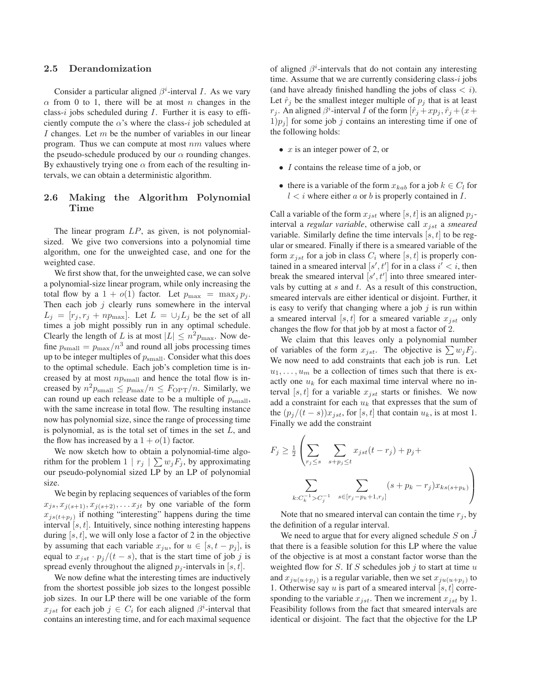### **2.5 Derandomization**

Consider a particular aligned  $\beta^i$ -interval *I*. As we vary  $\alpha$  from 0 to 1, there will be at most n changes in the class-i jobs scheduled during  $I$ . Further it is easy to efficiently compute the  $\alpha$ 's where the class-i job scheduled at I changes. Let  $m$  be the number of variables in our linear program. Thus we can compute at most  $nm$  values where the pseudo-schedule produced by our  $\alpha$  rounding changes. By exhaustively trying one  $\alpha$  from each of the resulting intervals, we can obtain a deterministic algorithm.

## **2.6 Making the Algorithm Polynomial Time**

The linear program  $LP$ , as given, is not polynomialsized. We give two conversions into a polynomial time algorithm, one for the unweighted case, and one for the weighted case.

We first show that, for the unweighted case, we can solve a polynomial-size linear program, while only increasing the total flow by a  $1 + o(1)$  factor. Let  $p_{\text{max}} = \max_{i} p_i$ . Then each job  $j$  clearly runs somewhere in the interval  $L_j = [r_j, r_j + np_{\text{max}}]$ . Let  $L = \bigcup_j L_j$  be the set of all times a job might possibly run in any optimal schedule. Clearly the length of L is at most  $|L| \leq n^2 p_{\text{max}}$ . Now define  $p_{\text{small}} = p_{\text{max}}/n^3$  and round all jobs processing times up to be integer multiples of  $p_{\text{small}}$ . Consider what this does to the optimal schedule. Each job's completion time is increased by at most  $np_{small}$  and hence the total flow is increased by  $n^2p_{\text{small}} \leq p_{\text{max}}/n \leq F_{\text{OPT}}/n$ . Similarly, we can round up each release date to be a multiple of  $p_{\text{small}}$ , with the same increase in total flow. The resulting instance now has polynomial size, since the range of processing time is polynomial, as is the total set of times in the set  $L$ , and the flow has increased by a  $1 + o(1)$  factor.

We now sketch how to obtain a polynomial-time algorithm for the problem  $1 | r_j | \sum w_j F_j$ , by approximating our pseudo-polynomial sized LP by an LP of polynomial size.

We begin by replacing sequences of variables of the form  $x_{j,s}, x_{j(s+1)}, x_{j(s+2)}, \ldots x_{jt}$  by one variable of the form  $x_{js(t+p_j)}$  if nothing "interesting" happens during the time interval  $[s, t]$ . Intuitively, since nothing interesting happens during  $[s, t]$ , we will only lose a factor of 2 in the objective by assuming that each variable  $x_{ju}$ , for  $u \in [s, t - p_i]$ , is equal to  $x_{jst} \cdot p_j/(t-s)$ , that is the start time of job j is spread evenly throughout the aligned  $p_i$ -intervals in [s, t].

We now define what the interesting times are inductively from the shortest possible job sizes to the longest possible job sizes. In our LP there will be one variable of the form  $x_{jst}$  for each job  $j \in C_i$  for each aligned  $\beta^i$ -interval that contains an interesting time, and for each maximal sequence

of aligned  $\beta^i$ -intervals that do not contain any interesting time. Assume that we are currently considering class- $i$  jobs (and have already finished handling the jobs of class  $\langle i \rangle$ ). Let  $\hat{r}_j$  be the smallest integer multiple of  $p_j$  that is at least  $r_j$ . An aligned  $\beta^i$ -interval I of the form  $[\hat{r}_j + xp_j, \hat{r}_j + (x+$  $1)p_i$  for some job j contains an interesting time if one of the following holds:

- $x$  is an integer power of 2, or
- I contains the release time of a job, or
- there is a variable of the form  $x_{kab}$  for a job  $k \in C_l$  for  $l < i$  where either a or b is properly contained in I.

Call a variable of the form  $x_{ist}$  where [s, t] is an aligned  $p_i$ interval a *regular variable*, otherwise call  $x_{jst}$  a *smeared* variable. Similarly define the time intervals  $[s, t]$  to be regular or smeared. Finally if there is a smeared variable of the form  $x_{ist}$  for a job in class  $C_i$  where [s, t] is properly contained in a smeared interval  $[s', t']$  for in a class  $i' < i$ , then break the smeared interval  $[s', t']$  into three smeared intervals by cutting at  $s$  and  $t$ . As a result of this construction, smeared intervals are either identical or disjoint. Further, it is easy to verify that changing where a job  $j$  is run within a smeared interval [s, t] for a smeared variable  $x_{jst}$  only changes the flow for that job by at most a factor of 2.

We claim that this leaves only a polynomial number of variables of the form  $x_{jst}$ . The objective is  $\sum w_j F_j$ . We now need to add constraints that each job is run. Let  $u_1, \ldots, u_m$  be a collection of times such that there is ex-<br>cetty and  $u$ , for each maximal time interval where no inactly one  $u_k$  for each maximal time interval where no interval [s, t] for a variable  $x_{jst}$  starts or finishes. We now add a constraint for each  $u_k$  that expresses that the sum of the  $(p_i/(t - s))x_{ist}$ , for [s, t] that contain  $u_k$ , is at most 1. Finally we add the constraint

$$
F_j \ge \frac{1}{2} \left( \sum_{r_j \le s} \sum_{s+p_j \le t} x_{jst}(t-r_j) + p_j + \sum_{k:C_k^{-1} > C_j^{-1}} \sum_{s \in [r_j - p_k + 1, r_j]} (s + p_k - r_j) x_{ks(s+p_k)} \right)
$$

Note that no smeared interval can contain the time  $r_i$ , by the definition of a regular interval.

We need to argue that for every aligned schedule  $S$  on  $J$ that there is a feasible solution for this LP where the value of the objective is at most a constant factor worse than the weighted flow for  $S$ . If  $S$  schedules job  $j$  to start at time  $u$ and  $x_{ju(u+p_i)}$  is a regular variable, then we set  $x_{ju(u+p_i)}$  to 1. Otherwise say u is part of a smeared interval [s, t] corresponding to the variable  $x_{jst}$ . Then we increment  $x_{jst}$  by 1. Feasibility follows from the fact that smeared intervals are identical or disjoint. The fact that the objective for the LP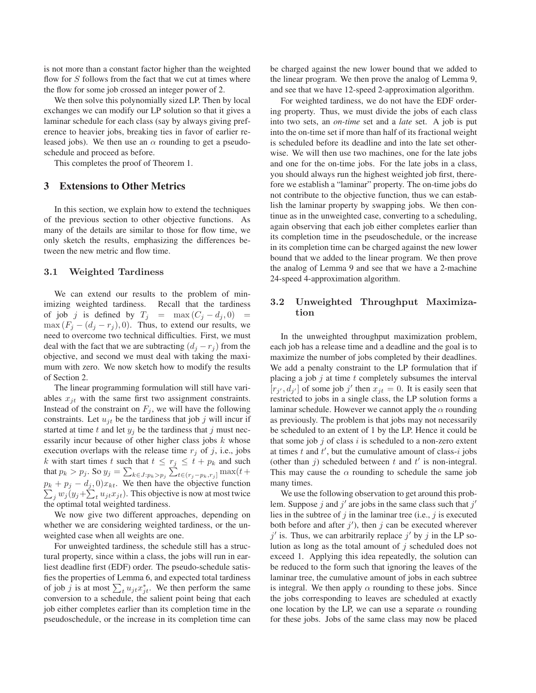is not more than a constant factor higher than the weighted flow for  $S$  follows from the fact that we cut at times where the flow for some job crossed an integer power of 2.

We then solve this polynomially sized LP. Then by local exchanges we can modify our LP solution so that it gives a laminar schedule for each class (say by always giving preference to heavier jobs, breaking ties in favor of earlier released jobs). We then use an  $\alpha$  rounding to get a pseudoschedule and proceed as before.

This completes the proof of Theorem 1.

### **3 Extensions to Other Metrics**

In this section, we explain how to extend the techniques of the previous section to other objective functions. As many of the details are similar to those for flow time, we only sketch the results, emphasizing the differences between the new metric and flow time.

### **3.1 Weighted Tardiness**

We can extend our results to the problem of minimizing weighted tardiness. Recall that the tardiness of job j is defined by  $T_j$  = max  $(C_j - d_j, 0)$  =  $\max(F_i - (d_i - r_i), 0)$ . Thus, to extend our results, we need to overcome two technical difficulties. First, we must deal with the fact that we are subtracting  $(d_j - r_j)$  from the objective, and second we must deal with taking the maximum with zero. We now sketch how to modify the results of Section 2.

The linear programming formulation will still have variables  $x_{it}$  with the same first two assignment constraints. Instead of the constraint on  $F_i$ , we will have the following constraints. Let  $u_{it}$  be the tardiness that job j will incur if started at time t and let  $y_j$  be the tardiness that j must necessarily incur because of other higher class jobs  $k$  whose execution overlaps with the release time  $r_j$  of j, i.e., jobs k with start times t such that  $t \leq r_j \leq t + p_k$  and such that  $p_k > p_j$ . So  $y_j = \sum_{k \in J: p_k > p_j} \sum_{t \in (r_j - p_k, r_j]}^{\infty} \max(t + \epsilon)$  $p_k + p_j - d_j$ , 0) $x_{kt}$ . We then have the objective function  $\sum_j w_j (y_j + \sum_t u_{jt} x_{jt})$ . This objective is now at most twice the optimal total weighted tardiness.

We now give two different approaches, depending on whether we are considering weighted tardiness, or the unweighted case when all weights are one.

For unweighted tardiness, the schedule still has a structural property, since within a class, the jobs will run in earliest deadline first (EDF) order. The pseudo-schedule satisfies the properties of Lemma 6, and expected total tardiness of job j is at most  $\sum_t u_{jt} x_{jt}^*$ . We then perform the same conversion to a schedule, the salient point being that each job either completes earlier than its completion time in the pseudoschedule, or the increase in its completion time can be charged against the new lower bound that we added to the linear program. We then prove the analog of Lemma 9, and see that we have 12-speed 2-approximation algorithm.

For weighted tardiness, we do not have the EDF ordering property. Thus, we must divide the jobs of each class into two sets, an *on-time* set and a *late* set. A job is put into the on-time set if more than half of its fractional weight is scheduled before its deadline and into the late set otherwise. We will then use two machines, one for the late jobs and one for the on-time jobs. For the late jobs in a class, you should always run the highest weighted job first, therefore we establish a "laminar" property. The on-time jobs do not contribute to the objective function, thus we can establish the laminar property by swapping jobs. We then continue as in the unweighted case, converting to a scheduling, again observing that each job either completes earlier than its completion time in the pseudoschedule, or the increase in its completion time can be charged against the new lower bound that we added to the linear program. We then prove the analog of Lemma 9 and see that we have a 2-machine 24-speed 4-approximation algorithm.

## **3.2 Unweighted Throughput Maximization**

In the unweighted throughput maximization problem, each job has a release time and a deadline and the goal is to maximize the number of jobs completed by their deadlines. We add a penalty constraint to the LP formulation that if placing a job  $j$  at time  $t$  completely subsumes the interval  $[r_{i'}, d_{i'}]$  of some job j' then  $x_{it} = 0$ . It is easily seen that restricted to jobs in a single class, the LP solution forms a laminar schedule. However we cannot apply the  $\alpha$  rounding as previously. The problem is that jobs may not necessarily be scheduled to an extent of 1 by the LP. Hence it could be that some job  $j$  of class  $i$  is scheduled to a non-zero extent at times  $t$  and  $t'$ , but the cumulative amount of class- $i$  jobs (other than  $j$ ) scheduled between  $t$  and  $t'$  is non-integral. This may cause the  $\alpha$  rounding to schedule the same job many times.

We use the following observation to get around this problem. Suppose j and j' are jobs in the same class such that  $j'$ lies in the subtree of  $j$  in the laminar tree (i.e.,  $j$  is executed both before and after  $j'$ ), then  $j$  can be executed wherever  $j'$  is. Thus, we can arbitrarily replace  $j'$  by j in the LP solution as long as the total amount of  $j$  scheduled does not exceed 1. Applying this idea repeatedly, the solution can be reduced to the form such that ignoring the leaves of the laminar tree, the cumulative amount of jobs in each subtree is integral. We then apply  $\alpha$  rounding to these jobs. Since the jobs corresponding to leaves are scheduled at exactly one location by the LP, we can use a separate  $\alpha$  rounding for these jobs. Jobs of the same class may now be placed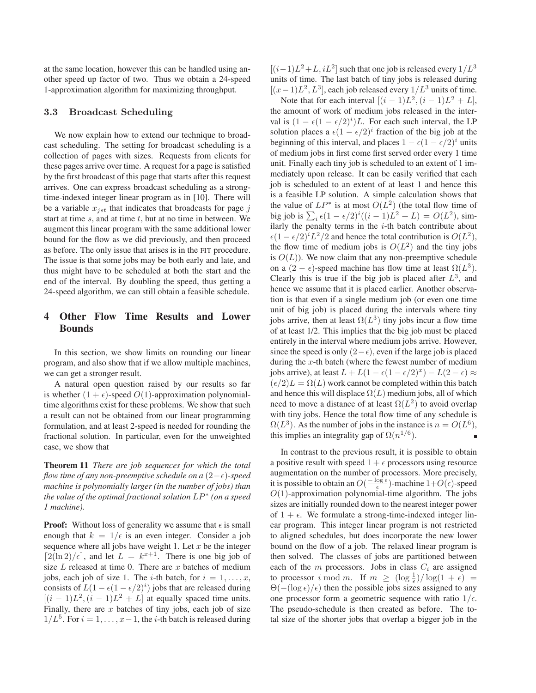at the same location, however this can be handled using another speed up factor of two. Thus we obtain a 24-speed 1-approximation algorithm for maximizing throughput.

#### **3.3 Broadcast Scheduling**

We now explain how to extend our technique to broadcast scheduling. The setting for broadcast scheduling is a collection of pages with sizes. Requests from clients for these pages arrive over time. A request for a page is satisfied by the first broadcast of this page that starts after this request arrives. One can express broadcast scheduling as a strongtime-indexed integer linear program as in [10]. There will be a variable  $x_{jst}$  that indicates that broadcasts for page j start at time  $s$ , and at time  $t$ , but at no time in between. We augment this linear program with the same additional lower bound for the flow as we did previously, and then proceed as before. The only issue that arises is in the FIT procedure. The issue is that some jobs may be both early and late, and thus might have to be scheduled at both the start and the end of the interval. By doubling the speed, thus getting a 24-speed algorithm, we can still obtain a feasible schedule.

# **4 Other Flow Time Results and Lower Bounds**

In this section, we show limits on rounding our linear program, and also show that if we allow multiple machines, we can get a stronger result.

A natural open question raised by our results so far is whether  $(1 + \epsilon)$ -speed  $O(1)$ -approximation polynomialtime algorithms exist for these problems. We show that such a result can not be obtained from our linear programming formulation, and at least 2-speed is needed for rounding the fractional solution. In particular, even for the unweighted case, we show that

**Theorem 11** *There are job sequences for which the total flow time of any non-preemptive schedule on a*  $(2-\epsilon)$ -speed *machine is polynomially larger (in the number of jobs) than the value of the optimal fractional solution* LP<sup>∗</sup> *(on a speed 1 machine).*

**Proof:** Without loss of generality we assume that  $\epsilon$  is small enough that  $k = 1/\epsilon$  is an even integer. Consider a job sequence where all jobs have weight 1. Let  $x$  be the integer  $[2(\ln 2)/\epsilon]$ , and let  $L = k^{x+1}$ . There is one big job of size  $L$  released at time 0. There are  $x$  batches of medium jobs, each job of size 1. The *i*-th batch, for  $i = 1, \ldots, x$ , consists of  $L(1 - \epsilon(1 - \epsilon/2)^i)$  jobs that are released during  $[(i-1)L^2,(i-1)L^2+L]$  at equally spaced time units. Finally, there are  $x$  batches of tiny jobs, each job of size  $1/L^5$ . For  $i = 1, \ldots, x-1$ , the *i*-th batch is released during  $[(i-1)L^2+L, iL^2]$  such that one job is released every  $1/L^3$ units of time. The last batch of tiny jobs is released during  $[(x-1)L^2, L^3]$ , each job released every  $1/L^3$  units of time.

Note that for each interval  $[(i - 1)L^2, (i - 1)L^2 + L]$ , the amount of work of medium jobs released in the interval is  $(1 - \epsilon(1 - \epsilon/2)^i)L$ . For each such interval, the LP solution places a  $\epsilon (1 - \epsilon/2)^i$  fraction of the big job at the beginning of this interval, and places  $1 - \epsilon (1 - \epsilon/2)^i$  units of medium jobs in first come first served order every 1 time unit. Finally each tiny job is scheduled to an extent of 1 immediately upon release. It can be easily verified that each job is scheduled to an extent of at least 1 and hence this is a feasible LP solution. A simple calculation shows that the value of  $LP^*$  is at most  $O(L^2)$  (the total flow time of big job is  $\sum_i \epsilon (1 - \epsilon/2)^i ((i - 1)L^2 + L) = O(L^2)$ , similarly the penalty terms in the  $i$ -th batch contribute about  $\epsilon (1 - \epsilon/2)^i L^2/2$  and hence the total contribution is  $O(L^2)$ , the flow time of medium jobs is  $O(L^2)$  and the tiny jobs is  $O(L)$ ). We now claim that any non-preemptive schedule on a  $(2 - \epsilon)$ -speed machine has flow time at least  $\Omega(L^3)$ . Clearly this is true if the big job is placed after  $L^3$ , and hence we assume that it is placed earlier. Another observation is that even if a single medium job (or even one time unit of big job) is placed during the intervals where tiny jobs arrive, then at least  $\Omega(L^3)$  tiny jobs incur a flow time of at least 1/2. This implies that the big job must be placed entirely in the interval where medium jobs arrive. However, since the speed is only  $(2-\epsilon)$ , even if the large job is placed during the  $x$ -th batch (where the fewest number of medium jobs arrive), at least  $L + L(1 - \epsilon(1 - \epsilon/2)^{x}) - L(2 - \epsilon) \approx$  $(\epsilon/2)L = \Omega(L)$  work cannot be completed within this batch and hence this will displace  $\Omega(L)$  medium jobs, all of which need to move a distance of at least  $\Omega(L^2)$  to avoid overlap with tiny jobs. Hence the total flow time of any schedule is  $\Omega(L^3)$ . As the number of jobs in the instance is  $n = O(L^6)$ , this implies an integrality gap of  $\Omega(n^{1/6})$ .

In contrast to the previous result, it is possible to obtain a positive result with speed  $1 + \epsilon$  processors using resource augmentation on the number of processors. More precisely, it is possible to obtain an  $O(\frac{-\log \epsilon}{\epsilon})$ -machine  $1+O(\epsilon)$ -speed  $O(1)$ -approximation polynomial-time algorithm. The jobs sizes are initially rounded down to the nearest integer power of  $1 + \epsilon$ . We formulate a strong-time-indexed integer linear program. This integer linear program is not restricted to aligned schedules, but does incorporate the new lower bound on the flow of a job. The relaxed linear program is then solved. The classes of jobs are partitioned between each of the  $m$  processors. Jobs in class  $C_i$  are assigned to processor i mod m. If  $m \ge (\log_{\frac{1}{\epsilon}})/\log(1+\epsilon)$  =  $\Theta(-(\log \epsilon)/\epsilon)$  then the possible jobs sizes assigned to any one processor form a geometric sequence with ratio  $1/\epsilon$ . The pseudo-schedule is then created as before. The total size of the shorter jobs that overlap a bigger job in the